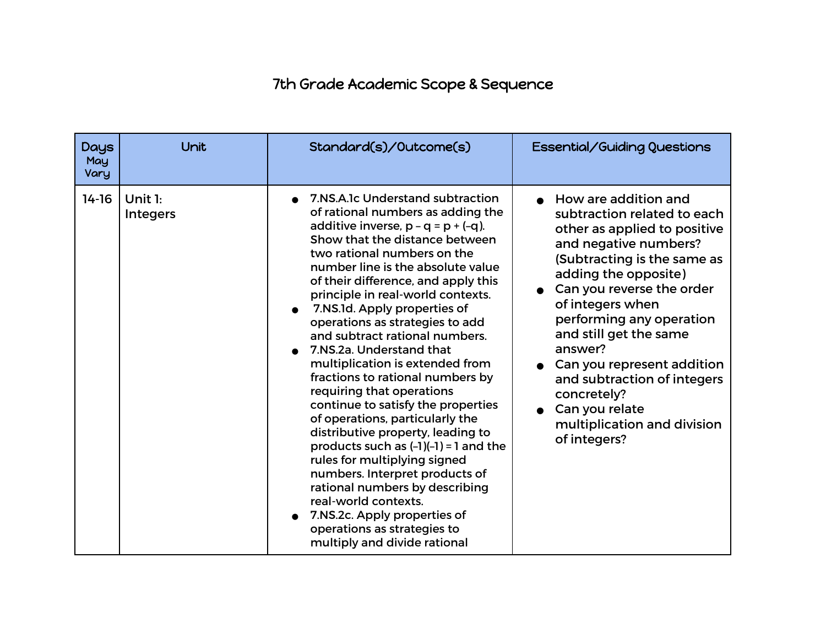## 7th Grade Academic Scope & Sequence

| Days<br>May<br>Vary | Unit                       | Standard(s)/Outcome(s)                                                                                                                                                                                                                                                                                                                                                                                                                                                                                                                                                                                                                                                                                                                                                                                                                                                                                                       | Essential/Guiding Questions                                                                                                                                                                                                                                                                                                                                                                                                        |
|---------------------|----------------------------|------------------------------------------------------------------------------------------------------------------------------------------------------------------------------------------------------------------------------------------------------------------------------------------------------------------------------------------------------------------------------------------------------------------------------------------------------------------------------------------------------------------------------------------------------------------------------------------------------------------------------------------------------------------------------------------------------------------------------------------------------------------------------------------------------------------------------------------------------------------------------------------------------------------------------|------------------------------------------------------------------------------------------------------------------------------------------------------------------------------------------------------------------------------------------------------------------------------------------------------------------------------------------------------------------------------------------------------------------------------------|
| $14 - 16$           | Unit 1:<br><b>Integers</b> | 7.NS.A.1c Understand subtraction<br>of rational numbers as adding the<br>additive inverse, $p - q = p + (-q)$ .<br>Show that the distance between<br>two rational numbers on the<br>number line is the absolute value<br>of their difference, and apply this<br>principle in real-world contexts.<br>• 7.NS.1d. Apply properties of<br>operations as strategies to add<br>and subtract rational numbers.<br>7.NS.2a. Understand that<br>multiplication is extended from<br>fractions to rational numbers by<br>requiring that operations<br>continue to satisfy the properties<br>of operations, particularly the<br>distributive property, leading to<br>products such as $(-1)(-1) = 1$ and the<br>rules for multiplying signed<br>numbers. Interpret products of<br>rational numbers by describing<br>real-world contexts.<br>7.NS.2c. Apply properties of<br>operations as strategies to<br>multiply and divide rational | How are addition and<br>subtraction related to each<br>other as applied to positive<br>and negative numbers?<br>(Subtracting is the same as<br>adding the opposite)<br>Can you reverse the order<br>of integers when<br>performing any operation<br>and still get the same<br>answer?<br>Can you represent addition<br>and subtraction of integers<br>concretely?<br>Can you relate<br>multiplication and division<br>of integers? |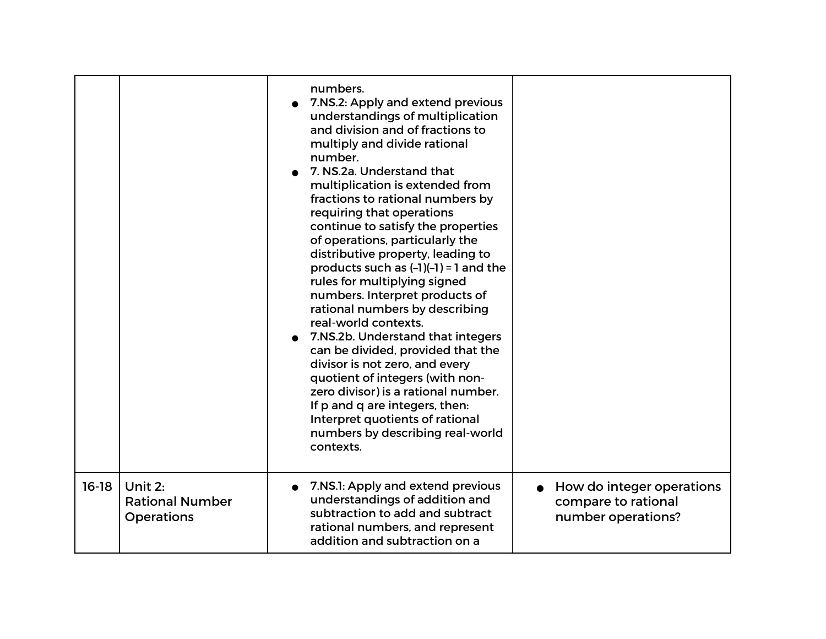|         |                                                        | numbers.<br>7.NS.2: Apply and extend previous<br>understandings of multiplication<br>and division and of fractions to<br>multiply and divide rational<br>number.<br>7. NS.2a. Understand that<br>multiplication is extended from<br>fractions to rational numbers by<br>requiring that operations<br>continue to satisfy the properties<br>of operations, particularly the<br>distributive property, leading to<br>products such as $(-1)(-1) = 1$ and the<br>rules for multiplying signed<br>numbers. Interpret products of<br>rational numbers by describing<br>real-world contexts.<br>7.NS.2b. Understand that integers<br>can be divided, provided that the<br>divisor is not zero, and every<br>quotient of integers (with non-<br>zero divisor) is a rational number.<br>If p and q are integers, then:<br>Interpret quotients of rational<br>numbers by describing real-world<br>contexts. |                                                                        |
|---------|--------------------------------------------------------|----------------------------------------------------------------------------------------------------------------------------------------------------------------------------------------------------------------------------------------------------------------------------------------------------------------------------------------------------------------------------------------------------------------------------------------------------------------------------------------------------------------------------------------------------------------------------------------------------------------------------------------------------------------------------------------------------------------------------------------------------------------------------------------------------------------------------------------------------------------------------------------------------|------------------------------------------------------------------------|
| $16-18$ | Unit 2:<br><b>Rational Number</b><br><b>Operations</b> | 7.NS.1: Apply and extend previous<br>understandings of addition and<br>subtraction to add and subtract<br>rational numbers, and represent<br>addition and subtraction on a                                                                                                                                                                                                                                                                                                                                                                                                                                                                                                                                                                                                                                                                                                                         | How do integer operations<br>compare to rational<br>number operations? |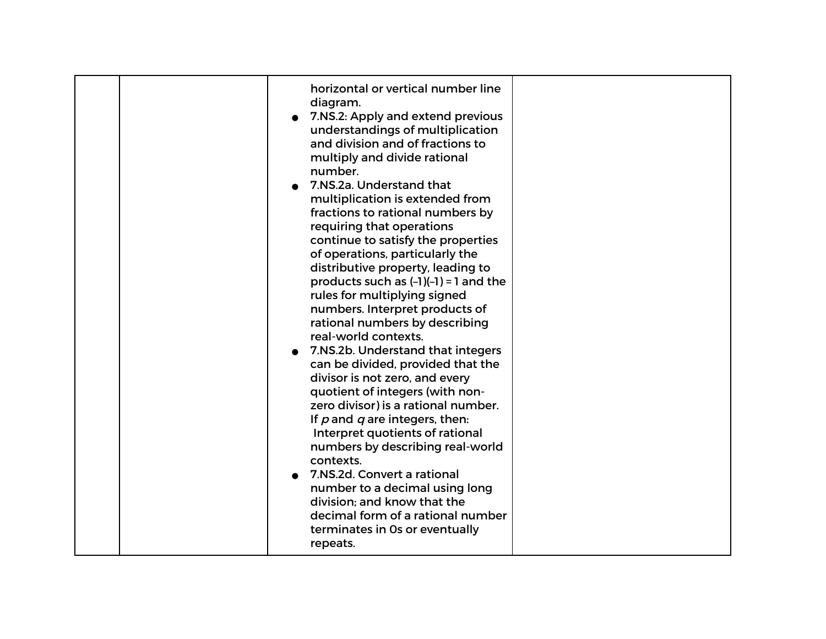| horizontal or vertical number line<br>diagram.<br>7.NS.2: Apply and extend previous<br>understandings of multiplication<br>and division and of fractions to<br>multiply and divide rational<br>number.<br>7.NS.2a. Understand that<br>multiplication is extended from<br>fractions to rational numbers by<br>requiring that operations<br>continue to satisfy the properties<br>of operations, particularly the<br>distributive property, leading to<br>products such as $(-1)(-1) = 1$ and the           |  |
|-----------------------------------------------------------------------------------------------------------------------------------------------------------------------------------------------------------------------------------------------------------------------------------------------------------------------------------------------------------------------------------------------------------------------------------------------------------------------------------------------------------|--|
| rules for multiplying signed<br>numbers. Interpret products of<br>rational numbers by describing<br>real-world contexts.<br>7.NS.2b. Understand that integers<br>can be divided, provided that the<br>divisor is not zero, and every<br>quotient of integers (with non-<br>zero divisor) is a rational number.<br>If $p$ and $q$ are integers, then:<br>Interpret quotients of rational<br>numbers by describing real-world<br>contexts.<br>7.NS.2d. Convert a rational<br>number to a decimal using long |  |
| division: and know that the<br>decimal form of a rational number<br>terminates in Os or eventually<br>repeats.                                                                                                                                                                                                                                                                                                                                                                                            |  |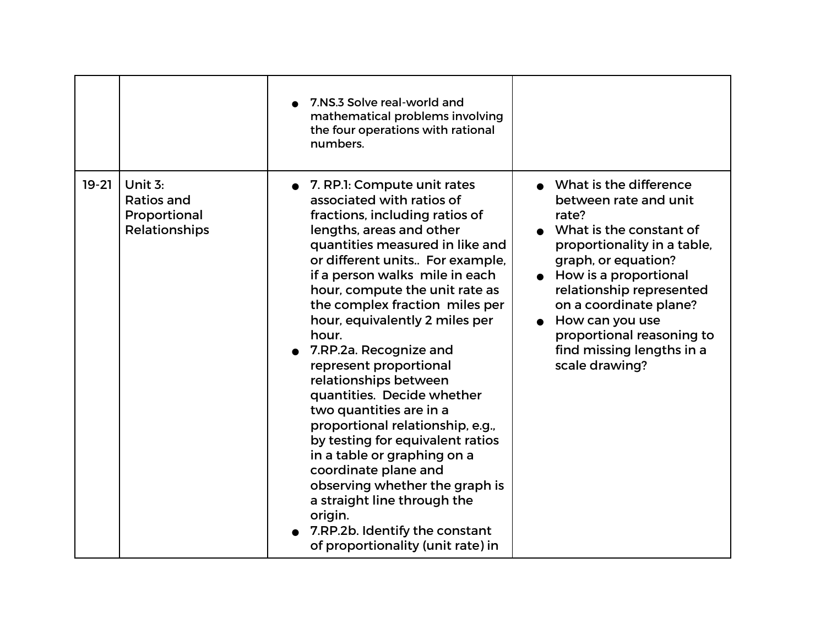|         |                                                                 | 7.NS.3 Solve real-world and<br>mathematical problems involving<br>the four operations with rational<br>numbers.                                                                                                                                                                                                                                                                                                                                                                                                                                                                                                                                                                                                                                                         |                                                                                                                                                                                                                                                                                                                         |
|---------|-----------------------------------------------------------------|-------------------------------------------------------------------------------------------------------------------------------------------------------------------------------------------------------------------------------------------------------------------------------------------------------------------------------------------------------------------------------------------------------------------------------------------------------------------------------------------------------------------------------------------------------------------------------------------------------------------------------------------------------------------------------------------------------------------------------------------------------------------------|-------------------------------------------------------------------------------------------------------------------------------------------------------------------------------------------------------------------------------------------------------------------------------------------------------------------------|
| $19-21$ | Unit $3:$<br><b>Ratios and</b><br>Proportional<br>Relationships | • 7. RP.1: Compute unit rates<br>associated with ratios of<br>fractions, including ratios of<br>lengths, areas and other<br>quantities measured in like and<br>or different units For example,<br>if a person walks mile in each<br>hour, compute the unit rate as<br>the complex fraction miles per<br>hour, equivalently 2 miles per<br>hour.<br>7.RP.2a. Recognize and<br>represent proportional<br>relationships between<br>quantities. Decide whether<br>two quantities are in a<br>proportional relationship, e.g.,<br>by testing for equivalent ratios<br>in a table or graphing on a<br>coordinate plane and<br>observing whether the graph is<br>a straight line through the<br>origin.<br>7.RP.2b. Identify the constant<br>of proportionality (unit rate) in | What is the difference<br>between rate and unit<br>rate?<br>What is the constant of<br>proportionality in a table,<br>graph, or equation?<br>How is a proportional<br>relationship represented<br>on a coordinate plane?<br>How can you use<br>proportional reasoning to<br>find missing lengths in a<br>scale drawing? |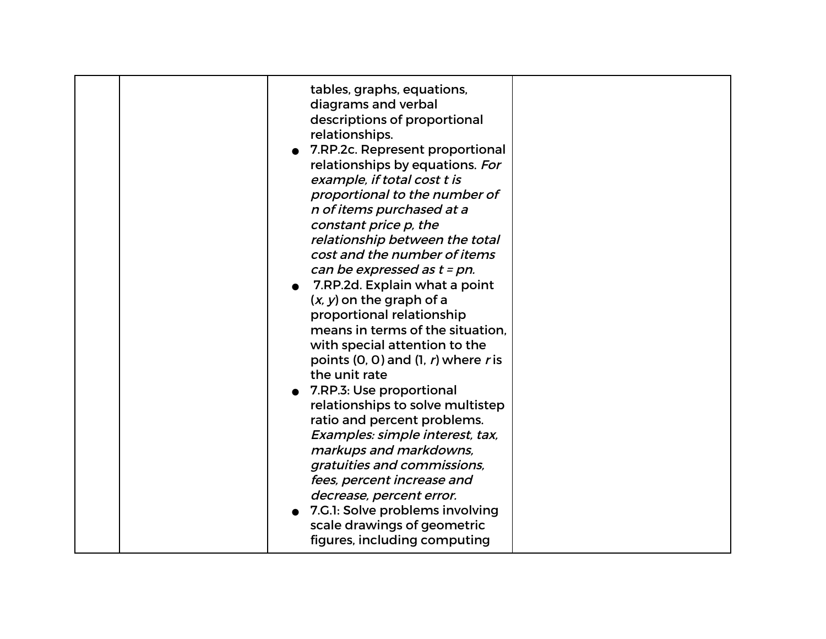| 7.G.1: Solve problems involving<br>scale drawings of geometric |
|----------------------------------------------------------------|
|----------------------------------------------------------------|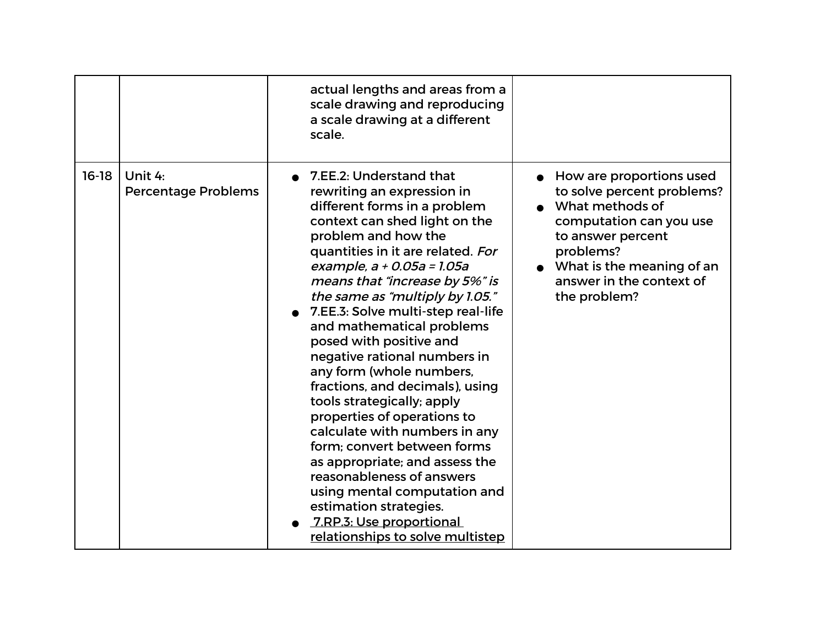|         |                                       | actual lengths and areas from a<br>scale drawing and reproducing<br>a scale drawing at a different<br>scale.                                                                                                                                                                                                                                                                                                                                                                                                                                                                                                                                                                                                                                                                                             |                                                                                                                                                                                                                 |
|---------|---------------------------------------|----------------------------------------------------------------------------------------------------------------------------------------------------------------------------------------------------------------------------------------------------------------------------------------------------------------------------------------------------------------------------------------------------------------------------------------------------------------------------------------------------------------------------------------------------------------------------------------------------------------------------------------------------------------------------------------------------------------------------------------------------------------------------------------------------------|-----------------------------------------------------------------------------------------------------------------------------------------------------------------------------------------------------------------|
| $16-18$ | Unit 4:<br><b>Percentage Problems</b> | 7.EE.2: Understand that<br>rewriting an expression in<br>different forms in a problem<br>context can shed light on the<br>problem and how the<br>quantities in it are related. For<br>example, a + 0.05a = 1.05a<br>means that "increase by 5%" is<br>the same as "multiply by 1.05."<br>7.EE.3: Solve multi-step real-life<br>and mathematical problems<br>posed with positive and<br>negative rational numbers in<br>any form (whole numbers,<br>fractions, and decimals), using<br>tools strategically; apply<br>properties of operations to<br>calculate with numbers in any<br>form; convert between forms<br>as appropriate; and assess the<br>reasonableness of answers<br>using mental computation and<br>estimation strategies.<br>7.RP.3: Use proportional<br>relationships to solve multistep | How are proportions used<br>to solve percent problems?<br>What methods of<br>computation can you use<br>to answer percent<br>problems?<br>What is the meaning of an<br>answer in the context of<br>the problem? |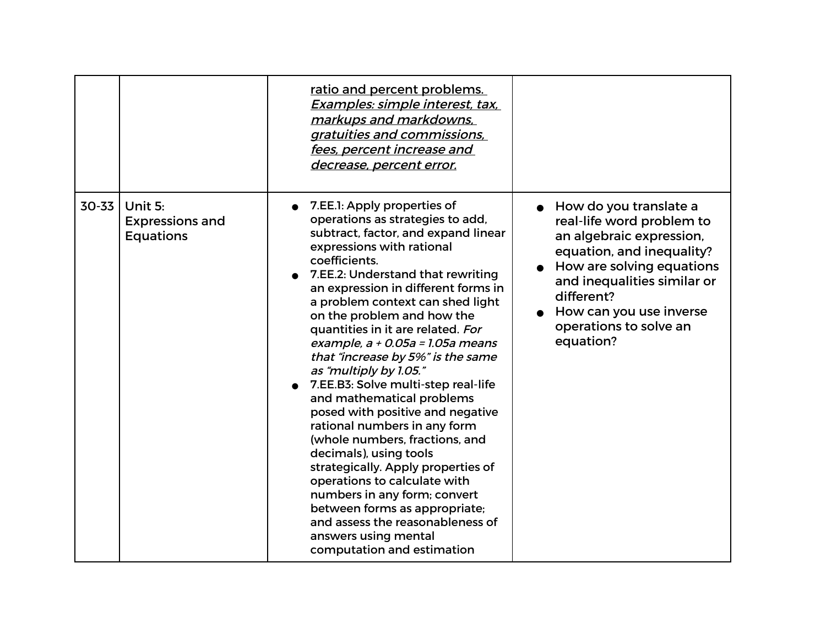|       |                                                       | ratio and percent problems.<br>Examples: simple interest, tax,<br>markups and markdowns,<br>gratuities and commissions,<br>fees, percent increase and<br>decrease, percent error.                                                                                                                                                                                                                                                                                                                                                                                                                                                                                                                                                                                                                                                                                                   |                                                                                                                                                                                                                                                          |
|-------|-------------------------------------------------------|-------------------------------------------------------------------------------------------------------------------------------------------------------------------------------------------------------------------------------------------------------------------------------------------------------------------------------------------------------------------------------------------------------------------------------------------------------------------------------------------------------------------------------------------------------------------------------------------------------------------------------------------------------------------------------------------------------------------------------------------------------------------------------------------------------------------------------------------------------------------------------------|----------------------------------------------------------------------------------------------------------------------------------------------------------------------------------------------------------------------------------------------------------|
| 30-33 | Unit 5:<br><b>Expressions and</b><br><b>Equations</b> | 7. EE. 1: Apply properties of<br>operations as strategies to add,<br>subtract, factor, and expand linear<br>expressions with rational<br>coefficients.<br>7.EE.2: Understand that rewriting<br>an expression in different forms in<br>a problem context can shed light<br>on the problem and how the<br>quantities in it are related. For<br>example, $a + 0.05a = 1.05a$ means<br>that "increase by 5%" is the same<br>as "multiply by 1.05."<br>7.EE.B3: Solve multi-step real-life<br>and mathematical problems<br>posed with positive and negative<br>rational numbers in any form<br>(whole numbers, fractions, and<br>decimals), using tools<br>strategically. Apply properties of<br>operations to calculate with<br>numbers in any form; convert<br>between forms as appropriate;<br>and assess the reasonableness of<br>answers using mental<br>computation and estimation | How do you translate a<br>real-life word problem to<br>an algebraic expression,<br>equation, and inequality?<br>How are solving equations<br>and inequalities similar or<br>different?<br>How can you use inverse<br>operations to solve an<br>equation? |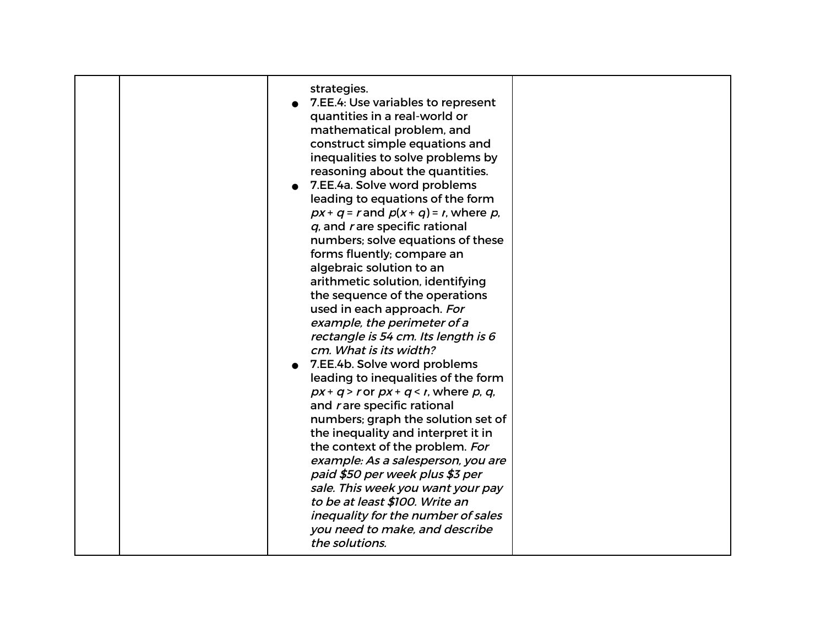| strategies.<br>7.EE.4: Use variables to represent                              |  |
|--------------------------------------------------------------------------------|--|
| quantities in a real-world or<br>mathematical problem, and                     |  |
| construct simple equations and<br>inequalities to solve problems by            |  |
| reasoning about the quantities.                                                |  |
| 7.EE.4a. Solve word problems<br>leading to equations of the form               |  |
| $px + q = r$ and $p(x + q) = r$ , where p,<br>$q$ , and rare specific rational |  |
| numbers; solve equations of these                                              |  |
| forms fluently; compare an<br>algebraic solution to an                         |  |
| arithmetic solution, identifying<br>the sequence of the operations             |  |
| used in each approach. For                                                     |  |
| example, the perimeter of a<br>rectangle is 54 cm. Its length is 6             |  |
| cm. What is its width?<br>7.EE.4b. Solve word problems                         |  |
| leading to inequalities of the form                                            |  |
| $px + q > r$ or $px + q < r$ , where p, q,<br>and rare specific rational       |  |
| numbers; graph the solution set of<br>the inequality and interpret it in       |  |
| the context of the problem. For                                                |  |
| example: As a salesperson, you are<br>paid \$50 per week plus \$3 per          |  |
| sale. This week you want your pay<br>to be at least \$100. Write an            |  |
| inequality for the number of sales<br>you need to make, and describe           |  |
| the solutions.                                                                 |  |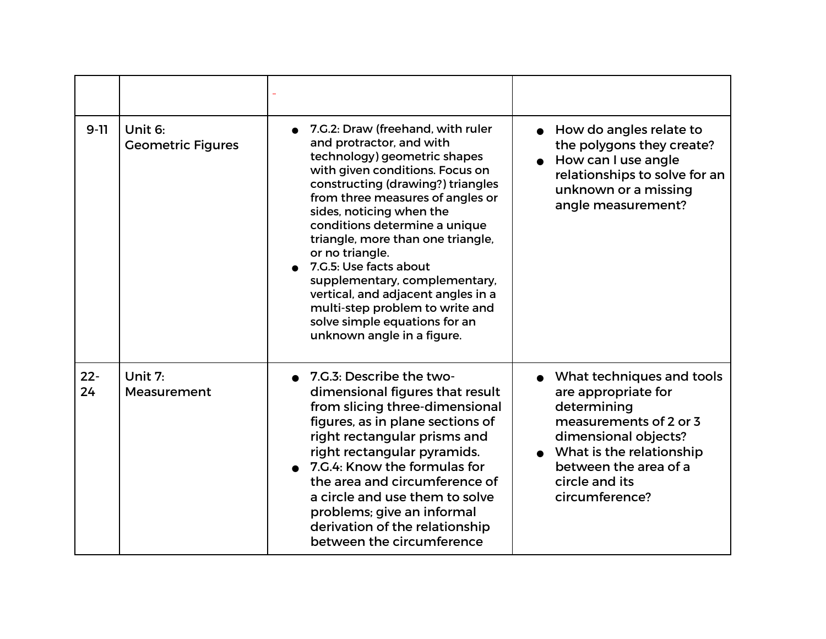| $9-11$       | Unit 6:<br><b>Geometric Figures</b> | 7.G.2: Draw (freehand, with ruler<br>and protractor, and with<br>technology) geometric shapes<br>with given conditions. Focus on<br>constructing (drawing?) triangles<br>from three measures of angles or<br>sides, noticing when the<br>conditions determine a unique<br>triangle, more than one triangle,<br>or no triangle.<br>7.G.5: Use facts about<br>supplementary, complementary,<br>vertical, and adjacent angles in a<br>multi-step problem to write and<br>solve simple equations for an<br>unknown angle in a figure. | How do angles relate to<br>the polygons they create?<br>How can I use angle<br>relationships to solve for an<br>unknown or a missing<br>angle measurement?                                                 |
|--------------|-------------------------------------|-----------------------------------------------------------------------------------------------------------------------------------------------------------------------------------------------------------------------------------------------------------------------------------------------------------------------------------------------------------------------------------------------------------------------------------------------------------------------------------------------------------------------------------|------------------------------------------------------------------------------------------------------------------------------------------------------------------------------------------------------------|
| $22 -$<br>24 | Unit 7:<br>Measurement              | • 7.G.3: Describe the two-<br>dimensional figures that result<br>from slicing three-dimensional<br>figures, as in plane sections of<br>right rectangular prisms and<br>right rectangular pyramids.<br>7.G.4: Know the formulas for<br>the area and circumference of<br>a circle and use them to solve<br>problems; give an informal<br>derivation of the relationship<br>between the circumference                                                                                                                                | What techniques and tools<br>are appropriate for<br>determining<br>measurements of 2 or 3<br>dimensional objects?<br>What is the relationship<br>between the area of a<br>circle and its<br>circumference? |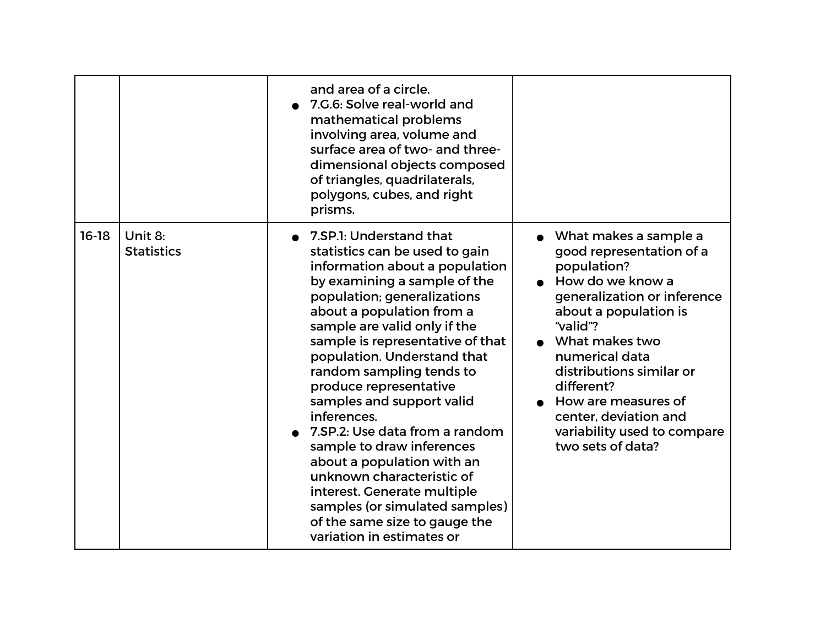|         |                              | and area of a circle.<br>7.G.6: Solve real-world and<br>mathematical problems<br>involving area, volume and<br>surface area of two- and three-<br>dimensional objects composed<br>of triangles, quadrilaterals,<br>polygons, cubes, and right<br>prisms.                                                                                                                                                                                                                                                                                                                                                                                                |                                                                                                                                                                                                                                                                                                                                                |
|---------|------------------------------|---------------------------------------------------------------------------------------------------------------------------------------------------------------------------------------------------------------------------------------------------------------------------------------------------------------------------------------------------------------------------------------------------------------------------------------------------------------------------------------------------------------------------------------------------------------------------------------------------------------------------------------------------------|------------------------------------------------------------------------------------------------------------------------------------------------------------------------------------------------------------------------------------------------------------------------------------------------------------------------------------------------|
| $16-18$ | Unit 8:<br><b>Statistics</b> | 7.SP.1: Understand that<br>statistics can be used to gain<br>information about a population<br>by examining a sample of the<br>population; generalizations<br>about a population from a<br>sample are valid only if the<br>sample is representative of that<br>population. Understand that<br>random sampling tends to<br>produce representative<br>samples and support valid<br>inferences.<br>7. SP. 2: Use data from a random<br>sample to draw inferences<br>about a population with an<br>unknown characteristic of<br>interest. Generate multiple<br>samples (or simulated samples)<br>of the same size to gauge the<br>variation in estimates or | • What makes a sample a<br>good representation of a<br>population?<br>• How do we know a<br>generalization or inference<br>about a population is<br>"valid"?<br>What makes two<br>numerical data<br>distributions similar or<br>different?<br>How are measures of<br>center, deviation and<br>variability used to compare<br>two sets of data? |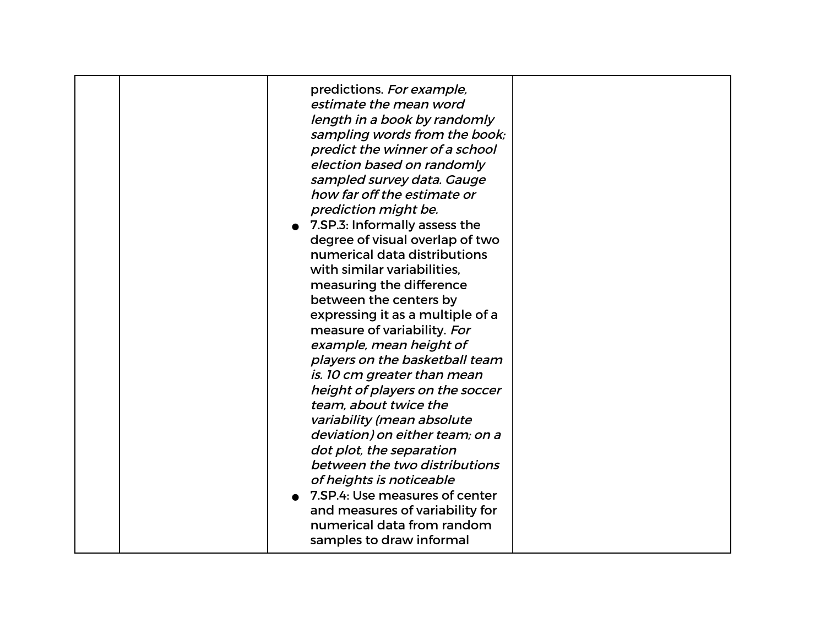| measuring the difference<br>between the centers by<br>expressing it as a multiple of a<br>measure of variability. For                                                                                                                                                                                                                                                                 | predictions. For example,<br>estimate the mean word<br>length in a book by randomly<br>sampling words from the book;<br>predict the winner of a school<br>election based on randomly<br>sampled survey data. Gauge<br>how far off the estimate or<br>prediction might be.<br>• 7.SP.3: Informally assess the<br>degree of visual overlap of two<br>numerical data distributions<br>with similar variabilities, |
|---------------------------------------------------------------------------------------------------------------------------------------------------------------------------------------------------------------------------------------------------------------------------------------------------------------------------------------------------------------------------------------|----------------------------------------------------------------------------------------------------------------------------------------------------------------------------------------------------------------------------------------------------------------------------------------------------------------------------------------------------------------------------------------------------------------|
| example, mean height of<br>players on the basketball team<br>is. 10 cm greater than mean<br>height of players on the soccer<br>team, about twice the<br>variability (mean absolute<br>deviation) on either team; on a<br>dot plot, the separation<br>between the two distributions<br>of heights is noticeable<br>• 7.SP.4: Use measures of center<br>and measures of variability for |                                                                                                                                                                                                                                                                                                                                                                                                                |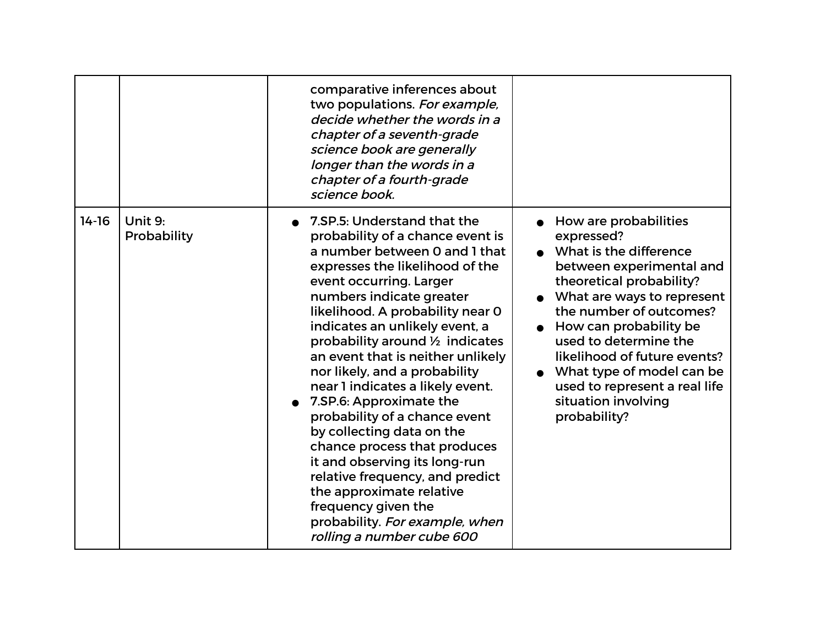|         |                        | comparative inferences about<br>two populations. For example,<br>decide whether the words in a<br>chapter of a seventh-grade<br>science book are generally<br>longer than the words in a<br>chapter of a fourth-grade<br>science book.                                                                                                                                                                                                                                                                                                                                                                                                                                                                                          |                                                                                                                                                                                                                                                                                                                                                                        |
|---------|------------------------|---------------------------------------------------------------------------------------------------------------------------------------------------------------------------------------------------------------------------------------------------------------------------------------------------------------------------------------------------------------------------------------------------------------------------------------------------------------------------------------------------------------------------------------------------------------------------------------------------------------------------------------------------------------------------------------------------------------------------------|------------------------------------------------------------------------------------------------------------------------------------------------------------------------------------------------------------------------------------------------------------------------------------------------------------------------------------------------------------------------|
| $14-16$ | Unit 9:<br>Probability | 7. SP. 5: Understand that the<br>probability of a chance event is<br>a number between 0 and 1 that<br>expresses the likelihood of the<br>event occurring. Larger<br>numbers indicate greater<br>likelihood. A probability near 0<br>indicates an unlikely event, a<br>probability around 1/2 indicates<br>an event that is neither unlikely<br>nor likely, and a probability<br>near 1 indicates a likely event.<br>7.SP.6: Approximate the<br>probability of a chance event<br>by collecting data on the<br>chance process that produces<br>it and observing its long-run<br>relative frequency, and predict<br>the approximate relative<br>frequency given the<br>probability. For example, when<br>rolling a number cube 600 | How are probabilities<br>expressed?<br>What is the difference<br>between experimental and<br>theoretical probability?<br>What are ways to represent<br>the number of outcomes?<br>How can probability be<br>used to determine the<br>likelihood of future events?<br>What type of model can be<br>used to represent a real life<br>situation involving<br>probability? |